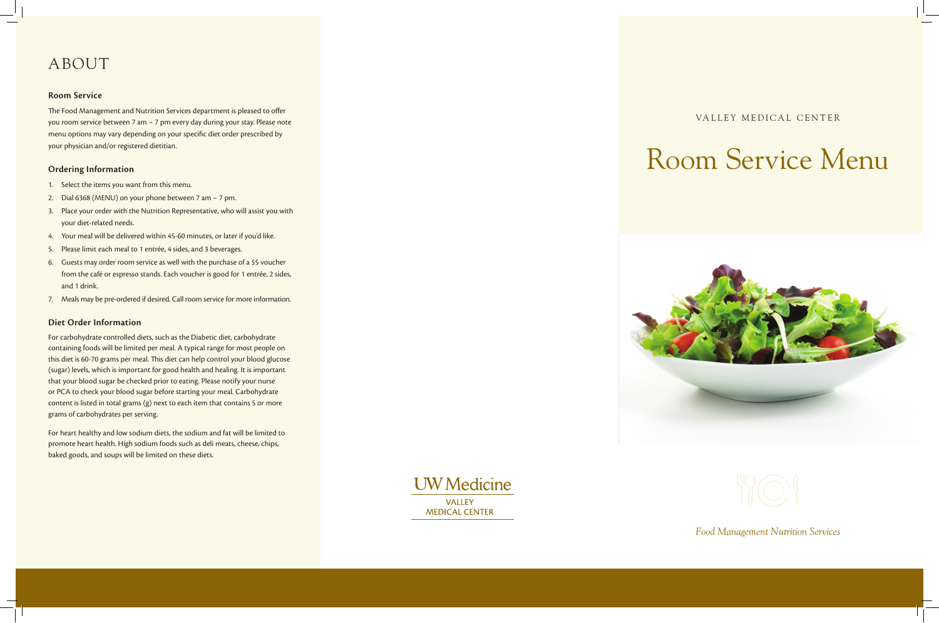# Room Service Menu





*Food Management Nutrition Services*

# ABOUT

#### **Room Service**

The Food Management and Nutrition Services department is pleased to offer you room service between 7 am – 7 pm every day during your stay. Please note menu options may vary depending on your specific diet order prescribed by your physician and/or registered dietitian.

#### **Ordering Information**

- 1. Select the items you want from this menu.
- 2. Dial 6368 (MENU) on your phone between 7 am 7 pm.
- 3. Place your order with the Nutrition Representative, who will assist you with your diet-related needs.
- 4. Your meal will be delivered within 45-60 minutes, or later if you'd like.
- 5. Please limit each meal to 1 entrée, 4 sides, and 3 beverages.
- 6. Guests may order room service as well with the purchase of a \$5 voucher from the café or espresso stands. Each voucher is good for 1 entrée, 2 sides, and 1 drink.
- 7. Meals may be pre-ordered if desired. Call room service for more information.

### **Diet Order Information**

For carbohydrate controlled diets, such as the Diabetic diet, carbohydrate containing foods will be limited per meal. A typical range for most people on this diet is 60-70 grams per meal. This diet can help control your blood glucose (sugar) levels, which is important for good health and healing. It is important that your blood sugar be checked prior to eating. Please notify your nurse or PCA to check your blood sugar before starting your meal. Carbohydrate content is listed in total grams (g) next to each item that contains 5 or more grams of carbohydrates per serving.

For heart healthy and low sodium diets, the sodium and fat will be limited to promote heart health. High sodium foods such as deli meats, cheese, chips, baked goods, and soups will be limited on these diets.

> **UW** Medicine **VALLEY MEDICAL CENTER**

VALLEY MEDICAL CENTER